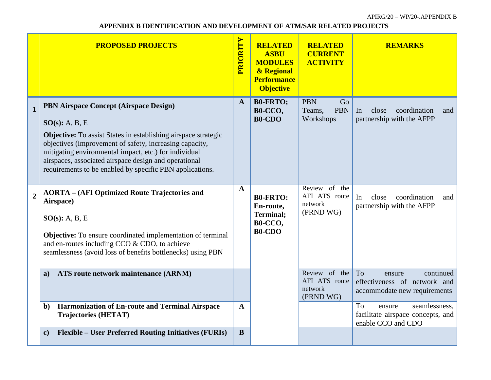## **APPENDIX B IDENTIFICATION AND DEVELOPMENT OF ATM/SAR RELATED PROJECTS**

|                | <b>PROPOSED PROJECTS</b>                                                                                                                                                                                                                                                                                                                                                      | PRIORITY     | <b>RELATED</b><br><b>ASBU</b><br><b>MODULES</b><br>& Regional<br><b>Performance</b><br><b>Objective</b> | <b>RELATED</b><br><b>CURRENT</b><br><b>ACTIVITY</b>    | <b>REMARKS</b>                                                                            |
|----------------|-------------------------------------------------------------------------------------------------------------------------------------------------------------------------------------------------------------------------------------------------------------------------------------------------------------------------------------------------------------------------------|--------------|---------------------------------------------------------------------------------------------------------|--------------------------------------------------------|-------------------------------------------------------------------------------------------|
| $\mathbf{1}$   | PBN Airspace Concept (Airspace Design)<br>$SO(s)$ : A, B, E<br><b>Objective:</b> To assist States in establishing airspace strategic<br>objectives (improvement of safety, increasing capacity,<br>mitigating environmental impact, etc.) for individual<br>airspaces, associated airspace design and operational<br>requirements to be enabled by specific PBN applications. | $\mathbf{A}$ | <b>B0-FRTO;</b><br>B0-CCO,<br><b>B0-CDO</b>                                                             | <b>PBN</b><br>Go<br><b>PBN</b><br>Teams,<br>Workshops  | coordination<br>In<br>close<br>and<br>partnership with the AFPP                           |
| $\overline{2}$ | <b>AORTA</b> – (AFI Optimized Route Trajectories and<br>Airspace)<br>$SO(s)$ : A, B, E<br><b>Objective:</b> To ensure coordinated implementation of terminal<br>and en-routes including CCO & CDO, to achieve<br>seamlessness (avoid loss of benefits bottlenecks) using PBN                                                                                                  | $\mathbf{A}$ | <b>B0-FRTO:</b><br>En-route,<br><b>Terminal;</b><br>B0-CCO,<br><b>B0-CDO</b>                            | Review of the<br>AFI ATS route<br>network<br>(PRND WG) | In<br>close<br>coordination<br>and<br>partnership with the AFPP                           |
|                | ATS route network maintenance (ARNM)<br>$\mathbf{a}$                                                                                                                                                                                                                                                                                                                          |              |                                                                                                         | Review of the<br>AFI ATS route<br>network<br>(PRND WG) | To<br>continued<br>ensure<br>effectiveness of network and<br>accommodate new requirements |
|                | <b>Harmonization of En-route and Terminal Airspace</b><br>$\mathbf{b}$<br><b>Trajectories (HETAT)</b>                                                                                                                                                                                                                                                                         | $\mathbf{A}$ |                                                                                                         |                                                        | seamlessness,<br>To<br>ensure<br>facilitate airspace concepts, and<br>enable CCO and CDO  |
|                | <b>Flexible – User Preferred Routing Initiatives (FURIs)</b><br>$\mathbf{c}$                                                                                                                                                                                                                                                                                                  | B            |                                                                                                         |                                                        |                                                                                           |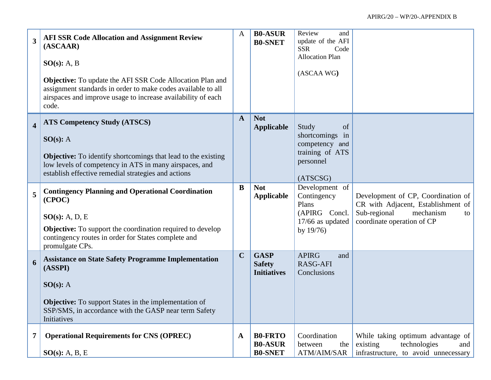| $\overline{\mathbf{3}}$ | <b>AFI SSR Code Allocation and Assignment Review</b><br>(ASCAAR)<br>$SO(s)$ : A, B<br><b>Objective:</b> To update the AFI SSR Code Allocation Plan and<br>assignment standards in order to make codes available to all<br>airspaces and improve usage to increase availability of each<br>code. | $\mathbf{A}$ | <b>B0-ASUR</b><br><b>B0-SNET</b>                   | Review<br>and<br>update of the AFI<br><b>SSR</b><br>Code<br><b>Allocation Plan</b><br>(ASCAA WG) |                                                                                                                                           |
|-------------------------|-------------------------------------------------------------------------------------------------------------------------------------------------------------------------------------------------------------------------------------------------------------------------------------------------|--------------|----------------------------------------------------|--------------------------------------------------------------------------------------------------|-------------------------------------------------------------------------------------------------------------------------------------------|
| $\overline{\mathbf{4}}$ | <b>ATS Competency Study (ATSCS)</b><br>SO(s): A<br><b>Objective:</b> To identify shortcomings that lead to the existing<br>low levels of competency in ATS in many airspaces, and<br>establish effective remedial strategies and actions                                                        | $\mathbf{A}$ | <b>Not</b><br><b>Applicable</b>                    | Study<br>of<br>shortcomings<br>in<br>competency and<br>training of ATS<br>personnel<br>(ATSCSG)  |                                                                                                                                           |
| 5                       | <b>Contingency Planning and Operational Coordination</b><br>(CPOC)<br>$SO(s)$ : A, D, E<br><b>Objective:</b> To support the coordination required to develop<br>contingency routes in order for States complete and<br>promulgate CPs.                                                          | B            | <b>Not</b><br><b>Applicable</b>                    | Development of<br>Contingency<br>Plans<br>(APIRG Concl.<br>$17/66$ as updated<br>by $19/76$      | Development of CP, Coordination of<br>CR with Adjacent, Establishment of<br>Sub-regional<br>mechanism<br>to<br>coordinate operation of CP |
| 6                       | <b>Assistance on State Safety Programme Implementation</b><br>(ASSPI)<br>SO(s): A<br><b>Objective:</b> To support States in the implementation of<br>SSP/SMS, in accordance with the GASP near term Safety<br>Initiatives                                                                       | $\mathbf C$  | <b>GASP</b><br><b>Safety</b><br><b>Initiatives</b> | <b>APIRG</b><br>and<br><b>RASG-AFI</b><br>Conclusions                                            |                                                                                                                                           |
| 7                       | <b>Operational Requirements for CNS (OPREC)</b><br>SO(s): A, B, E                                                                                                                                                                                                                               | $\mathbf A$  | <b>B0-FRTO</b><br><b>B0-ASUR</b><br><b>B0-SNET</b> | Coordination<br>between<br>the<br>ATM/AIM/SAR                                                    | While taking optimum advantage of<br>existing<br>technologies<br>and<br>infrastructure, to avoid unnecessary                              |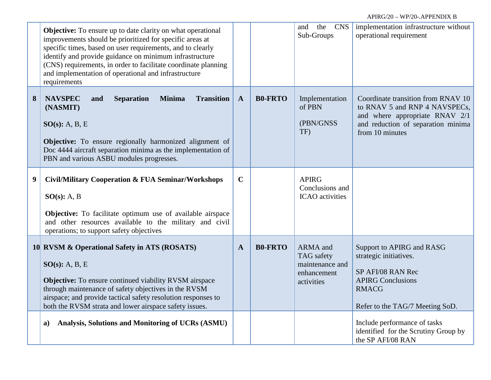|   | <b>Objective:</b> To ensure up to date clarity on what operational<br>improvements should be prioritized for specific areas at<br>specific times, based on user requirements, and to clearly<br>identify and provide guidance on minimum infrastructure<br>(CNS) requirements, in order to facilitate coordinate planning<br>and implementation of operational and infrastructure<br>requirements |              |                | the<br>and<br><b>CNS</b><br>Sub-Groups                                        | implementation infrastructure without<br>operational requirement                                                                                               |
|---|---------------------------------------------------------------------------------------------------------------------------------------------------------------------------------------------------------------------------------------------------------------------------------------------------------------------------------------------------------------------------------------------------|--------------|----------------|-------------------------------------------------------------------------------|----------------------------------------------------------------------------------------------------------------------------------------------------------------|
| 8 | <b>NAVSPEC</b><br><b>Separation</b><br><b>Minima</b><br><b>Transition</b><br>and<br>(NASMIT)<br>SO(s): A, B, E<br><b>Objective:</b> To ensure regionally harmonized alignment of<br>Doc 4444 aircraft separation minima as the implementation of<br>PBN and various ASBU modules progresses.                                                                                                      | $\mathbf{A}$ | <b>B0-FRTO</b> | Implementation<br>of PBN<br>(PBN/GNSS<br>TF)                                  | Coordinate transition from RNAV 10<br>to RNAV 5 and RNP 4 NAVSPECs,<br>and where appropriate RNAV 2/1<br>and reduction of separation minima<br>from 10 minutes |
| 9 | <b>Civil/Military Cooperation &amp; FUA Seminar/Workshops</b><br>SO(s): A, B<br>Objective: To facilitate optimum use of available airspace<br>and other resources available to the military and civil<br>operations; to support safety objectives                                                                                                                                                 | $\mathbf C$  |                | <b>APIRG</b><br>Conclusions and<br><b>ICAO</b> activities                     |                                                                                                                                                                |
|   | 10 RVSM & Operational Safety in ATS (ROSATS)<br>SO(s): A, B, E<br><b>Objective:</b> To ensure continued viability RVSM airspace<br>through maintenance of safety objectives in the RVSM<br>airspace; and provide tactical safety resolution responses to<br>both the RVSM strata and lower airspace safety issues.                                                                                | $\mathbf{A}$ | <b>B0-FRTO</b> | <b>ARMA</b> and<br>TAG safety<br>maintenance and<br>enhancement<br>activities | Support to APIRG and RASG<br>strategic initiatives.<br>SP AFI/08 RAN Rec<br><b>APIRG Conclusions</b><br><b>RMACG</b><br>Refer to the TAG/7 Meeting SoD.        |
|   | Analysis, Solutions and Monitoring of UCRs (ASMU)<br>a)                                                                                                                                                                                                                                                                                                                                           |              |                |                                                                               | Include performance of tasks<br>identified for the Scrutiny Group by<br>the SP AFI/08 RAN                                                                      |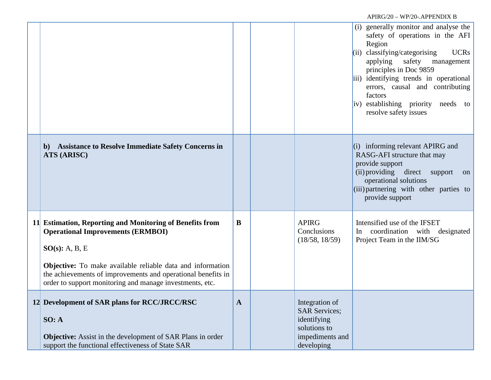|                                                                                                                                                                                                                                                                                                                  |   |                                                                                                        | (i) generally monitor and analyse the<br>safety of operations in the AFI<br>Region<br>classifying/categorising<br><b>UCRs</b><br>(ii)<br>applying safety<br>management<br>principles in Doc 9859<br>iii) identifying trends in operational<br>errors, causal and contributing<br>factors<br>iv) establishing priority<br>needs to<br>resolve safety issues |
|------------------------------------------------------------------------------------------------------------------------------------------------------------------------------------------------------------------------------------------------------------------------------------------------------------------|---|--------------------------------------------------------------------------------------------------------|------------------------------------------------------------------------------------------------------------------------------------------------------------------------------------------------------------------------------------------------------------------------------------------------------------------------------------------------------------|
| <b>Assistance to Resolve Immediate Safety Concerns in</b><br>b)<br>ATS (ARISC)                                                                                                                                                                                                                                   |   |                                                                                                        | $(i)$ informing relevant APIRG and<br>RASG-AFI structure that may<br>provide support<br>(ii) providing direct support<br>on<br>operational solutions<br>$(iii)$ partnering with other parties to<br>provide support                                                                                                                                        |
| 11 Estimation, Reporting and Monitoring of Benefits from<br><b>Operational Improvements (ERMBOI)</b><br>SO(s): A, B, E<br>Objective: To make available reliable data and information<br>the achievements of improvements and operational benefits in<br>order to support monitoring and manage investments, etc. | B | <b>APIRG</b><br>Conclusions<br>(18/58, 18/59)                                                          | Intensified use of the IFSET<br>coordination with designated<br>In<br>Project Team in the IIM/SG                                                                                                                                                                                                                                                           |
| 12 Development of SAR plans for RCC/JRCC/RSC<br>SO: A<br><b>Objective:</b> Assist in the development of SAR Plans in order<br>support the functional effectiveness of State SAR                                                                                                                                  | A | Integration of<br><b>SAR Services;</b><br>identifying<br>solutions to<br>impediments and<br>developing |                                                                                                                                                                                                                                                                                                                                                            |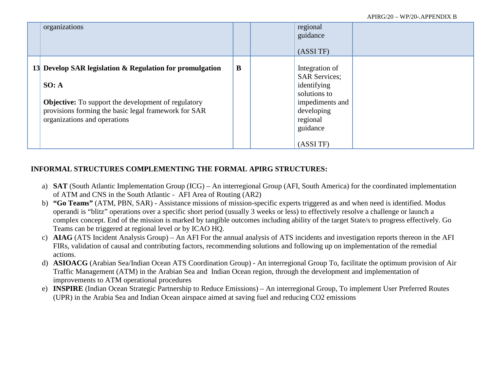| organizations                                                                                                                                                                                                           |   | regional<br>guidance<br>(ASSITF)                                                                                                           |  |
|-------------------------------------------------------------------------------------------------------------------------------------------------------------------------------------------------------------------------|---|--------------------------------------------------------------------------------------------------------------------------------------------|--|
| 13 Develop SAR legislation & Regulation for promulgation<br>SO: A<br><b>Objective:</b> To support the development of regulatory<br>provisions forming the basic legal framework for SAR<br>organizations and operations | B | Integration of<br><b>SAR Services;</b><br>identifying<br>solutions to<br>impediments and<br>developing<br>regional<br>guidance<br>(ASSITF) |  |

## **INFORMAL STRUCTURES COMPLEMENTING THE FORMAL APIRG STRUCTURES:**

- a) **SAT** (South Atlantic Implementation Group (ICG) An interregional Group (AFI, South America) for the coordinated implementation of ATM and CNS in the South Atlantic - AFI Area of Routing (AR2)
- b) **"Go Teams"** (ATM, PBN, SAR) Assistance missions of mission-specific experts triggered as and when need is identified. Modus operandi is "blitz" operations over a specific short period (usually 3 weeks or less) to effectively resolve a challenge or launch a complex concept. End of the mission is marked by tangible outcomes including ability of the target State/s to progress effectively. Go Teams can be triggered at regional level or by ICAO HQ.
- c) **AIAG** (ATS Incident Analysis Group) An AFI For the annual analysis of ATS incidents and investigation reports thereon in the AFI FIRs, validation of causal and contributing factors, recommending solutions and following up on implementation of the remedial actions.
- d) **ASIOACG** (Arabian Sea/Indian Ocean ATS Coordination Group) An interregional Group To, facilitate the optimum provision of Air Traffic Management (ATM) in the Arabian Sea and Indian Ocean region, through the development and implementation of improvements to ATM operational procedures
- e) **INSPIRE** (Indian Ocean Strategic Partnership to Reduce Emissions) An interregional Group, To implement User Preferred Routes (UPR) in the Arabia Sea and Indian Ocean airspace aimed at saving fuel and reducing CO2 emissions